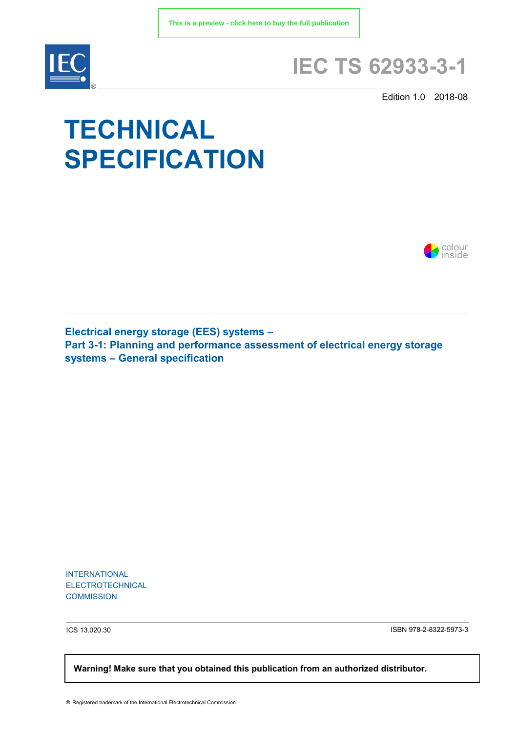

## **IEC TS 62933-3-1**

Edition 1.0 2018-08

# **TECHNICAL SPECIFICATION**



**Electrical energy storage (EES) systems – Part 3-1: Planning and performance assessment of electrical energy storage systems – General specification**

INTERNATIONAL ELECTROTECHNICAL **COMMISSION** 

ICS 13.020.30 ISBN 978-2-8322-5973-3

 **Warning! Make sure that you obtained this publication from an authorized distributor.**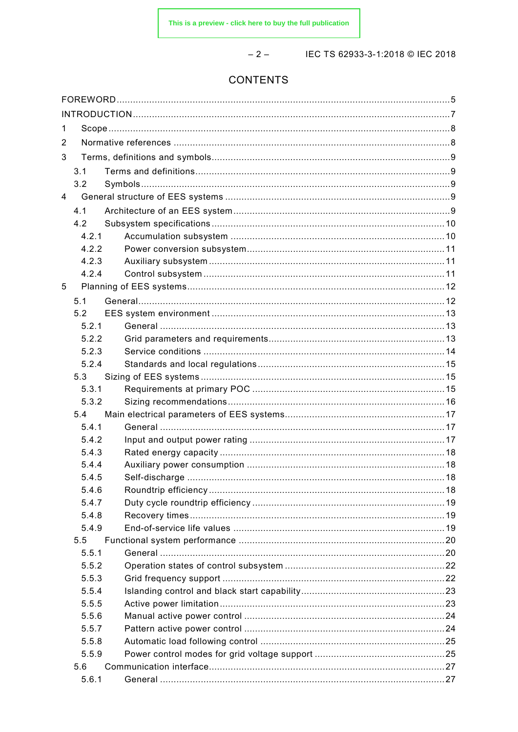$-2-$ 

#### IEC TS 62933-3-1:2018 © IEC 2018

### CONTENTS

| 1              |       |  |
|----------------|-------|--|
| 2              |       |  |
| 3              |       |  |
|                | 3.1   |  |
|                | 3.2   |  |
| $\overline{4}$ |       |  |
|                | 4.1   |  |
|                | 4.2   |  |
|                | 4.2.1 |  |
|                | 4.2.2 |  |
|                | 4.2.3 |  |
|                | 4.2.4 |  |
| 5              |       |  |
|                | 5.1   |  |
|                | 5.2   |  |
|                | 5.2.1 |  |
|                | 5.2.2 |  |
|                | 5.2.3 |  |
|                | 5.2.4 |  |
|                | 5.3   |  |
|                | 5.3.1 |  |
|                | 5.3.2 |  |
|                | 5.4   |  |
|                | 5.4.1 |  |
|                | 5.4.2 |  |
|                | 5.4.3 |  |
|                | 5.4.4 |  |
|                | 5.4.5 |  |
|                | 5.4.6 |  |
|                | 5.4.7 |  |
|                | 5.4.8 |  |
|                | 5.4.9 |  |
|                | 5.5   |  |
|                | 5.5.1 |  |
|                | 5.5.2 |  |
|                | 5.5.3 |  |
|                | 5.5.4 |  |
|                | 5.5.5 |  |
|                | 5.5.6 |  |
|                | 5.5.7 |  |
|                | 5.5.8 |  |
|                | 5.5.9 |  |
|                | 5.6   |  |
|                | 5.6.1 |  |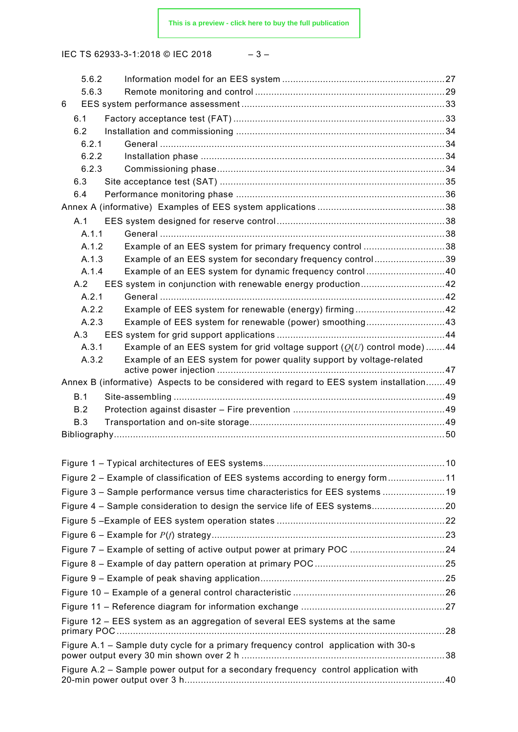IEC TS 62933-3-1:2018 © IEC 2018 – 3 –

| 5.6.2          |                                                                                                                                                    |  |  |  |  |  |  |
|----------------|----------------------------------------------------------------------------------------------------------------------------------------------------|--|--|--|--|--|--|
| 5.6.3          |                                                                                                                                                    |  |  |  |  |  |  |
| 6              |                                                                                                                                                    |  |  |  |  |  |  |
| 6.1            |                                                                                                                                                    |  |  |  |  |  |  |
| 6.2            |                                                                                                                                                    |  |  |  |  |  |  |
| 6.2.1          |                                                                                                                                                    |  |  |  |  |  |  |
| 6.2.2          |                                                                                                                                                    |  |  |  |  |  |  |
| 6.2.3          |                                                                                                                                                    |  |  |  |  |  |  |
| 6.3            |                                                                                                                                                    |  |  |  |  |  |  |
| 6.4            |                                                                                                                                                    |  |  |  |  |  |  |
|                |                                                                                                                                                    |  |  |  |  |  |  |
| A.1            |                                                                                                                                                    |  |  |  |  |  |  |
| A.1.1          |                                                                                                                                                    |  |  |  |  |  |  |
| A.1.2          | Example of an EES system for primary frequency control 38                                                                                          |  |  |  |  |  |  |
| A.1.3          | Example of an EES system for secondary frequency control39                                                                                         |  |  |  |  |  |  |
| A.1.4          | Example of an EES system for dynamic frequency control40                                                                                           |  |  |  |  |  |  |
| A.2            |                                                                                                                                                    |  |  |  |  |  |  |
| A.2.1          |                                                                                                                                                    |  |  |  |  |  |  |
| A.2.2          | Example of EES system for renewable (energy) firming42                                                                                             |  |  |  |  |  |  |
| A.2.3          | Example of EES system for renewable (power) smoothing43                                                                                            |  |  |  |  |  |  |
| A.3            |                                                                                                                                                    |  |  |  |  |  |  |
| A.3.1<br>A.3.2 | Example of an EES system for grid voltage support $(Q(U)$ control mode)44<br>Example of an EES system for power quality support by voltage-related |  |  |  |  |  |  |
|                |                                                                                                                                                    |  |  |  |  |  |  |
|                | Annex B (informative) Aspects to be considered with regard to EES system installation49                                                            |  |  |  |  |  |  |
| B.1            |                                                                                                                                                    |  |  |  |  |  |  |
| B.2            |                                                                                                                                                    |  |  |  |  |  |  |
| B.3            |                                                                                                                                                    |  |  |  |  |  |  |
|                |                                                                                                                                                    |  |  |  |  |  |  |
|                |                                                                                                                                                    |  |  |  |  |  |  |
|                |                                                                                                                                                    |  |  |  |  |  |  |
|                | Figure 2 – Example of classification of EES systems according to energy form11                                                                     |  |  |  |  |  |  |
|                | Figure 3 - Sample performance versus time characteristics for EES systems 19                                                                       |  |  |  |  |  |  |
|                | Figure 4 - Sample consideration to design the service life of EES systems20                                                                        |  |  |  |  |  |  |
|                |                                                                                                                                                    |  |  |  |  |  |  |
|                |                                                                                                                                                    |  |  |  |  |  |  |
|                |                                                                                                                                                    |  |  |  |  |  |  |
|                |                                                                                                                                                    |  |  |  |  |  |  |
|                |                                                                                                                                                    |  |  |  |  |  |  |
|                |                                                                                                                                                    |  |  |  |  |  |  |
|                |                                                                                                                                                    |  |  |  |  |  |  |
|                |                                                                                                                                                    |  |  |  |  |  |  |
|                | Figure 12 - EES system as an aggregation of several EES systems at the same                                                                        |  |  |  |  |  |  |
|                | Figure A.1 – Sample duty cycle for a primary frequency control application with 30-s                                                               |  |  |  |  |  |  |
|                | Figure A.2 – Sample power output for a secondary frequency control application with                                                                |  |  |  |  |  |  |
|                |                                                                                                                                                    |  |  |  |  |  |  |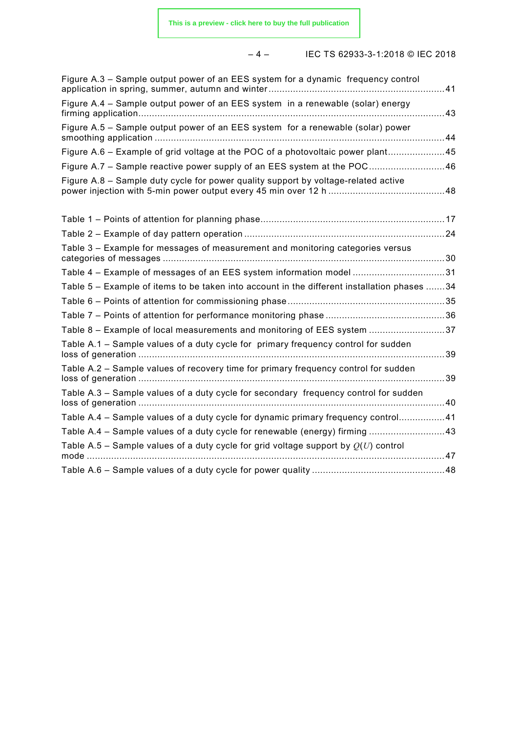#### – 4 – IEC TS 62933-3-1:2018 © IEC 2018

| Figure A.3 - Sample output power of an EES system for a dynamic frequency control           | 41   |
|---------------------------------------------------------------------------------------------|------|
| Figure A.4 – Sample output power of an EES system in a renewable (solar) energy             |      |
| Figure A.5 - Sample output power of an EES system for a renewable (solar) power             |      |
| Figure A.6 - Example of grid voltage at the POC of a photovoltaic power plant45             |      |
| Figure A.7 – Sample reactive power supply of an EES system at the POC46                     |      |
| Figure A.8 - Sample duty cycle for power quality support by voltage-related active          |      |
|                                                                                             |      |
|                                                                                             |      |
| Table 3 - Example for messages of measurement and monitoring categories versus              |      |
| Table 4 - Example of messages of an EES system information model 31                         |      |
| Table 5 - Example of items to be taken into account in the different installation phases 34 |      |
|                                                                                             |      |
|                                                                                             |      |
| Table 8 - Example of local measurements and monitoring of EES system 37                     |      |
| Table A.1 - Sample values of a duty cycle for primary frequency control for sudden          | 39   |
| Table A.2 - Sample values of recovery time for primary frequency control for sudden         | 39   |
| Table A.3 - Sample values of a duty cycle for secondary frequency control for sudden        | . 40 |
| Table A.4 - Sample values of a duty cycle for dynamic primary frequency control41           |      |
| Table A.4 - Sample values of a duty cycle for renewable (energy) firming 43                 |      |
| Table A.5 - Sample values of a duty cycle for grid voltage support by $Q(U)$ control        |      |
|                                                                                             |      |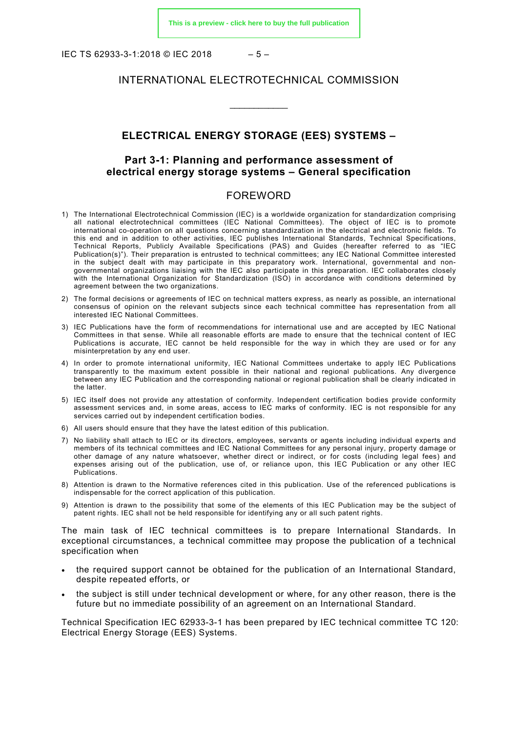IEC TS 62933-3-1:2018 © IEC 2018 – 5 –

#### INTERNATIONAL ELECTROTECHNICAL COMMISSION

#### **ELECTRICAL ENERGY STORAGE (EES) SYSTEMS –**

\_\_\_\_\_\_\_\_\_\_\_\_

#### **Part 3-1: Planning and performance assessment of electrical energy storage systems – General specification**

#### FOREWORD

- <span id="page-4-0"></span>1) The International Electrotechnical Commission (IEC) is a worldwide organization for standardization comprising all national electrotechnical committees (IEC National Committees). The object of IEC is to promote international co-operation on all questions concerning standardization in the electrical and electronic fields. To this end and in addition to other activities, IEC publishes International Standards, Technical Specifications, Technical Reports, Publicly Available Specifications (PAS) and Guides (hereafter referred to as "IEC Publication(s)"). Their preparation is entrusted to technical committees; any IEC National Committee interested in the subject dealt with may participate in this preparatory work. International, governmental and nongovernmental organizations liaising with the IEC also participate in this preparation. IEC collaborates closely with the International Organization for Standardization (ISO) in accordance with conditions determined by agreement between the two organizations.
- 2) The formal decisions or agreements of IEC on technical matters express, as nearly as possible, an international consensus of opinion on the relevant subjects since each technical committee has representation from all interested IEC National Committees.
- 3) IEC Publications have the form of recommendations for international use and are accepted by IEC National Committees in that sense. While all reasonable efforts are made to ensure that the technical content of IEC Publications is accurate, IEC cannot be held responsible for the way in which they are used or for any misinterpretation by any end user.
- 4) In order to promote international uniformity, IEC National Committees undertake to apply IEC Publications transparently to the maximum extent possible in their national and regional publications. Any divergence between any IEC Publication and the corresponding national or regional publication shall be clearly indicated in the latter.
- 5) IEC itself does not provide any attestation of conformity. Independent certification bodies provide conformity assessment services and, in some areas, access to IEC marks of conformity. IEC is not responsible for any services carried out by independent certification bodies.
- 6) All users should ensure that they have the latest edition of this publication.
- 7) No liability shall attach to IEC or its directors, employees, servants or agents including individual experts and members of its technical committees and IEC National Committees for any personal injury, property damage or other damage of any nature whatsoever, whether direct or indirect, or for costs (including legal fees) and expenses arising out of the publication, use of, or reliance upon, this IEC Publication or any other IEC Publications.
- 8) Attention is drawn to the Normative references cited in this publication. Use of the referenced publications is indispensable for the correct application of this publication.
- 9) Attention is drawn to the possibility that some of the elements of this IEC Publication may be the subject of patent rights. IEC shall not be held responsible for identifying any or all such patent rights.

The main task of IEC technical committees is to prepare International Standards. In exceptional circumstances, a technical committee may propose the publication of a technical specification when

- the required support cannot be obtained for the publication of an International Standard, despite repeated efforts, or
- the subject is still under technical development or where, for any other reason, there is the future but no immediate possibility of an agreement on an International Standard.

Technical Specification IEC 62933-3-1 has been prepared by IEC technical committee TC 120: Electrical Energy Storage (EES) Systems.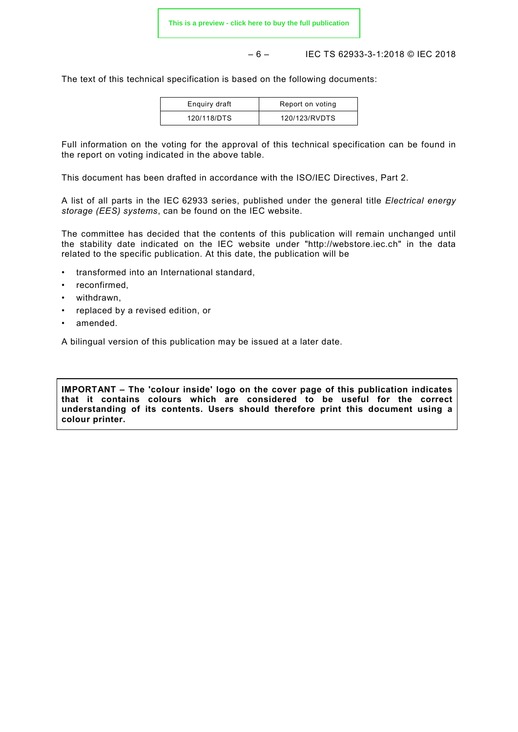– 6 – IEC TS 62933-3-1:2018 © IEC 2018

The text of this technical specification is based on the following documents:

| Enquiry draft | Report on voting |
|---------------|------------------|
| 120/118/DTS   | 120/123/RVDTS    |

Full information on the voting for the approval of this technical specification can be found in the report on voting indicated in the above table.

This document has been drafted in accordance with the ISO/IEC Directives, Part 2.

A list of all parts in the IEC 62933 series, published under the general title *Electrical energy storage (EES) systems*, can be found on the IEC website.

The committee has decided that the contents of this publication will remain unchanged until the stability date indicated on the IEC website under "http://webstore.iec.ch" in the data related to the specific publication. At this date, the publication will be

- transformed into an International standard,
- reconfirmed,
- withdrawn,
- replaced by a revised edition, or
- amended.

A bilingual version of this publication may be issued at a later date.

**IMPORTANT – The 'colour inside' logo on the cover page of this publication indicates that it contains colours which are considered to be useful for the correct understanding of its contents. Users should therefore print this document using a colour printer.**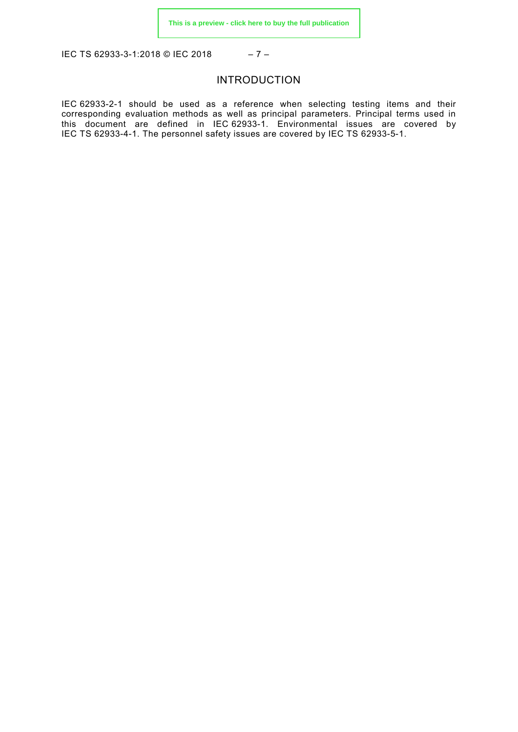<span id="page-6-0"></span>IEC TS 62933-3-1:2018 © IEC 2018 – 7 –

#### INTRODUCTION

IEC 62933-2-1 should be used as a reference when selecting testing items and their corresponding evaluation methods as well as principal parameters. Principal terms used in this document are defined in IEC 62933-1. Environmental issues are covered by IEC TS 62933-4-1. The personnel safety issues are covered by IEC TS 62933-5-1.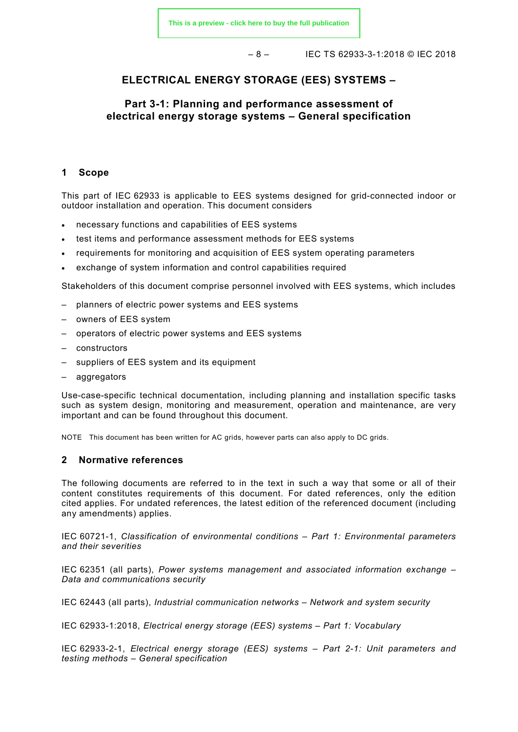– 8 – IEC TS 62933-3-1:2018 © IEC 2018

#### **ELECTRICAL ENERGY STORAGE (EES) SYSTEMS –**

#### **Part 3-1: Planning and performance assessment of electrical energy storage systems – General specification**

#### <span id="page-7-0"></span>**1 Scope**

This part of IEC 62933 is applicable to EES systems designed for grid-connected indoor or outdoor installation and operation. This document considers

- necessary functions and capabilities of EES systems
- test items and performance assessment methods for EES systems
- requirements for monitoring and acquisition of EES system operating parameters
- exchange of system information and control capabilities required

Stakeholders of this document comprise personnel involved with EES systems, which includes

- planners of electric power systems and EES systems
- owners of EES system
- operators of electric power systems and EES systems
- constructors
- suppliers of EES system and its equipment
- aggregators

Use-case-specific technical documentation, including planning and installation specific tasks such as system design, monitoring and measurement, operation and maintenance, are very important and can be found throughout this document.

NOTE This document has been written for AC grids, however parts can also apply to DC grids.

#### <span id="page-7-1"></span>**2 Normative references**

The following documents are referred to in the text in such a way that some or all of their content constitutes requirements of this document. For dated references, only the edition cited applies. For undated references, the latest edition of the referenced document (including any amendments) applies.

IEC 60721-1, *Classification of environmental conditions – Part 1: Environmental parameters and their severities*

IEC 62351 (all parts), *Power systems management and associated information exchange – Data and communications security*

IEC 62443 (all parts), *Industrial communication networks – Network and system security*

IEC 62933-1:2018, *Electrical energy storage (EES) systems – Part 1: Vocabulary*

IEC 62933-2-1, *Electrical energy storage (EES) systems – Part 2-1: Unit parameters and testing methods – General specification*